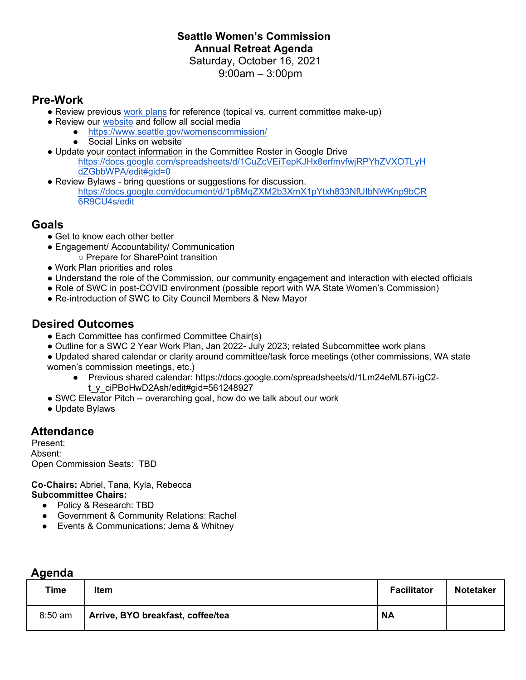# **Seattle Women's Commission Annual Retreat Agenda**

Saturday, October 16, 2021 9:00am – 3:00pm

### **Pre-Work**

- Review previous [work plans](https://www.seattle.gov/womenscommission/what-we-do) for reference (topical vs. current committee make-up)
- Review our website and follow all social media
	- <https://www.seattle.gov/womenscommission/>
	- **Social Links on website**
- Update your contact information in the Committee Roster in Google Drive [https://docs.google.com/spreadsheets/d/1CuZcVEiTepKJHx8erfmvfwjRPYhZVXOTLyH](https://docs.google.com/spreadsheets/d/1CuZcVEiTepKJHx8erfmvfwjRPYhZVXOTLyHdZGbbWPA/edit#gid=0) [dZGbbWPA/edit#gid=0](https://docs.google.com/spreadsheets/d/1CuZcVEiTepKJHx8erfmvfwjRPYhZVXOTLyHdZGbbWPA/edit#gid=0)
- Review Bylaws bring questions or suggestions for discussion. [https://docs.google.com/document/d/1p8MqZXM2b3XmX1pYtxh833NfUIbNWKnp9bCR](https://docs.google.com/document/d/1p8MqZXM2b3XmX1pYtxh833NfUIbNWKnp9bCR6R9CU4s/edit) [6R9CU4s/edit](https://docs.google.com/document/d/1p8MqZXM2b3XmX1pYtxh833NfUIbNWKnp9bCR6R9CU4s/edit)

#### **Goals**

- Get to know each other better
- Engagement/ Accountability/ Communication
	- Prepare for SharePoint transition
- Work Plan priorities and roles
- Understand the role of the Commission, our community engagement and interaction with elected officials
- Role of SWC in post-COVID environment (possible report with WA State Women's Commission)
- Re-introduction of SWC to City Council Members & New Mayor

## **Desired Outcomes**

- Each Committee has confirmed Committee Chair(s)
- Outline for a SWC 2 Year Work Plan, Jan 2022- July 2023; related Subcommittee work plans
- Updated shared calendar or clarity around committee/task force meetings (other commissions, WA state women's commission meetings, etc.)
	- Previous shared calendar: https://docs.google.com/spreadsheets/d/1Lm24eML67i-igC2 t\_y\_ciPBoHwD2Ash/edit#gid=561248927
- SWC Elevator Pitch -- overarching goal, how do we talk about our work
- Update Bylaws

# **Attendance**

Present: Absent: Open Commission Seats: TBD

**Co-Chairs:** Abriel, Tana, Kyla, Rebecca **Subcommittee Chairs:** 

- Policy & Research: TBD
- Government & Community Relations: Rachel
- Events & Communications: Jema & Whitney

| aend<br>œ<br>п |  |
|----------------|--|
|                |  |

| .         |                                   |                    |                  |  |  |
|-----------|-----------------------------------|--------------------|------------------|--|--|
| Time      | Item                              | <b>Facilitator</b> | <b>Notetaker</b> |  |  |
| $8:50$ am | Arrive, BYO breakfast, coffee/tea | <b>NA</b>          |                  |  |  |